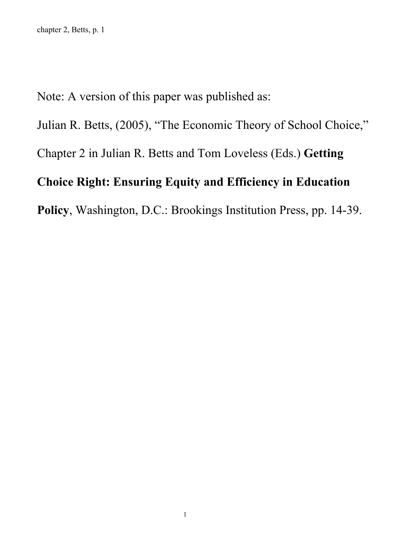Note: A version of this paper was published as:

Julian R. Betts, (2005), "The Economic Theory of School Choice,"

Chapter 2 in Julian R. Betts and Tom Loveless (Eds.) **Getting** 

# **Choice Right: Ensuring Equity and Efficiency in Education**

**Policy**, Washington, D.C.: Brookings Institution Press, pp. 14-39.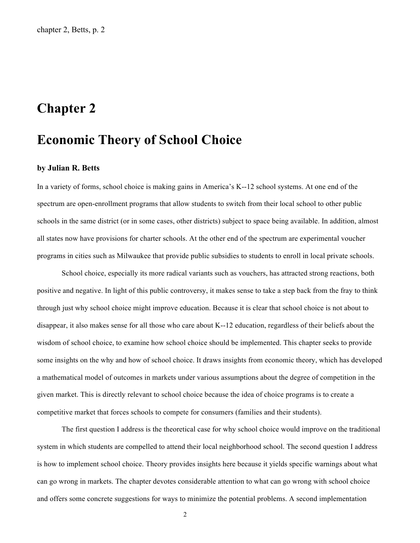# **Chapter 2**

# **Economic Theory of School Choice**

#### **by Julian R. Betts**

In a variety of forms, school choice is making gains in America's K--12 school systems. At one end of the spectrum are open-enrollment programs that allow students to switch from their local school to other public schools in the same district (or in some cases, other districts) subject to space being available. In addition, almost all states now have provisions for charter schools. At the other end of the spectrum are experimental voucher programs in cities such as Milwaukee that provide public subsidies to students to enroll in local private schools.

School choice, especially its more radical variants such as vouchers, has attracted strong reactions, both positive and negative. In light of this public controversy, it makes sense to take a step back from the fray to think through just why school choice might improve education. Because it is clear that school choice is not about to disappear, it also makes sense for all those who care about K--12 education, regardless of their beliefs about the wisdom of school choice, to examine how school choice should be implemented. This chapter seeks to provide some insights on the why and how of school choice. It draws insights from economic theory, which has developed a mathematical model of outcomes in markets under various assumptions about the degree of competition in the given market. This is directly relevant to school choice because the idea of choice programs is to create a competitive market that forces schools to compete for consumers (families and their students).

The first question I address is the theoretical case for why school choice would improve on the traditional system in which students are compelled to attend their local neighborhood school. The second question I address is how to implement school choice. Theory provides insights here because it yields specific warnings about what can go wrong in markets. The chapter devotes considerable attention to what can go wrong with school choice and offers some concrete suggestions for ways to minimize the potential problems. A second implementation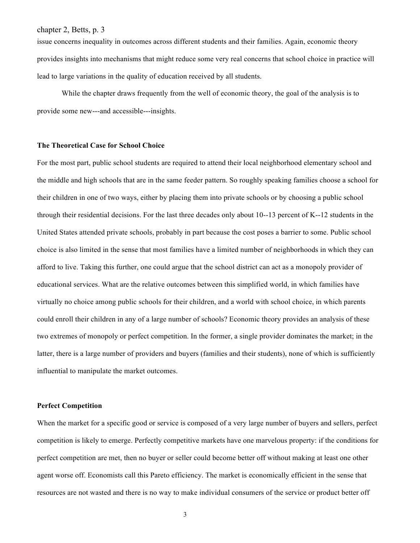issue concerns inequality in outcomes across different students and their families. Again, economic theory provides insights into mechanisms that might reduce some very real concerns that school choice in practice will lead to large variations in the quality of education received by all students.

While the chapter draws frequently from the well of economic theory, the goal of the analysis is to provide some new---and accessible---insights.

#### **The Theoretical Case for School Choice**

For the most part, public school students are required to attend their local neighborhood elementary school and the middle and high schools that are in the same feeder pattern. So roughly speaking families choose a school for their children in one of two ways, either by placing them into private schools or by choosing a public school through their residential decisions. For the last three decades only about 10--13 percent of K--12 students in the United States attended private schools, probably in part because the cost poses a barrier to some. Public school choice is also limited in the sense that most families have a limited number of neighborhoods in which they can afford to live. Taking this further, one could argue that the school district can act as a monopoly provider of educational services. What are the relative outcomes between this simplified world, in which families have virtually no choice among public schools for their children, and a world with school choice, in which parents could enroll their children in any of a large number of schools? Economic theory provides an analysis of these two extremes of monopoly or perfect competition. In the former, a single provider dominates the market; in the latter, there is a large number of providers and buyers (families and their students), none of which is sufficiently influential to manipulate the market outcomes.

#### **Perfect Competition**

When the market for a specific good or service is composed of a very large number of buyers and sellers, perfect competition is likely to emerge. Perfectly competitive markets have one marvelous property: if the conditions for perfect competition are met, then no buyer or seller could become better off without making at least one other agent worse off. Economists call this Pareto efficiency. The market is economically efficient in the sense that resources are not wasted and there is no way to make individual consumers of the service or product better off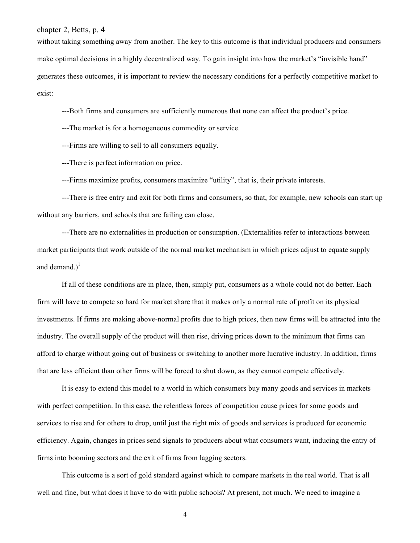without taking something away from another. The key to this outcome is that individual producers and consumers make optimal decisions in a highly decentralized way. To gain insight into how the market's "invisible hand" generates these outcomes, it is important to review the necessary conditions for a perfectly competitive market to exist:

---Both firms and consumers are sufficiently numerous that none can affect the product's price.

---The market is for a homogeneous commodity or service.

---Firms are willing to sell to all consumers equally.

---There is perfect information on price.

---Firms maximize profits, consumers maximize "utility", that is, their private interests.

---There is free entry and exit for both firms and consumers, so that, for example, new schools can start up without any barriers, and schools that are failing can close.

---There are no externalities in production or consumption. (Externalities refer to interactions between market participants that work outside of the normal market mechanism in which prices adjust to equate supply and demand.) $<sup>1</sup>$ </sup>

If all of these conditions are in place, then, simply put, consumers as a whole could not do better. Each firm will have to compete so hard for market share that it makes only a normal rate of profit on its physical investments. If firms are making above-normal profits due to high prices, then new firms will be attracted into the industry. The overall supply of the product will then rise, driving prices down to the minimum that firms can afford to charge without going out of business or switching to another more lucrative industry. In addition, firms that are less efficient than other firms will be forced to shut down, as they cannot compete effectively.

It is easy to extend this model to a world in which consumers buy many goods and services in markets with perfect competition. In this case, the relentless forces of competition cause prices for some goods and services to rise and for others to drop, until just the right mix of goods and services is produced for economic efficiency. Again, changes in prices send signals to producers about what consumers want, inducing the entry of firms into booming sectors and the exit of firms from lagging sectors.

This outcome is a sort of gold standard against which to compare markets in the real world. That is all well and fine, but what does it have to do with public schools? At present, not much. We need to imagine a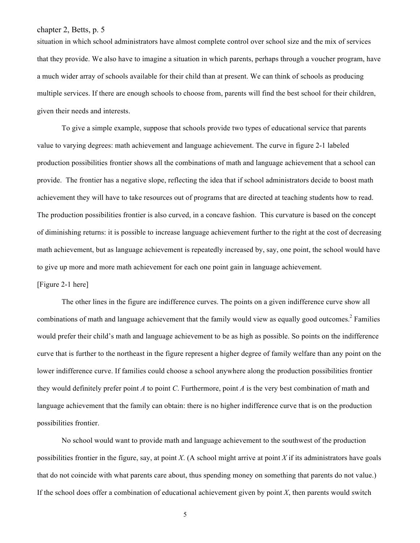situation in which school administrators have almost complete control over school size and the mix of services that they provide. We also have to imagine a situation in which parents, perhaps through a voucher program, have a much wider array of schools available for their child than at present. We can think of schools as producing multiple services. If there are enough schools to choose from, parents will find the best school for their children, given their needs and interests.

To give a simple example, suppose that schools provide two types of educational service that parents value to varying degrees: math achievement and language achievement. The curve in figure 2-1 labeled production possibilities frontier shows all the combinations of math and language achievement that a school can provide. The frontier has a negative slope, reflecting the idea that if school administrators decide to boost math achievement they will have to take resources out of programs that are directed at teaching students how to read. The production possibilities frontier is also curved, in a concave fashion. This curvature is based on the concept of diminishing returns: it is possible to increase language achievement further to the right at the cost of decreasing math achievement, but as language achievement is repeatedly increased by, say, one point, the school would have to give up more and more math achievement for each one point gain in language achievement.

# [Figure 2-1 here]

The other lines in the figure are indifference curves. The points on a given indifference curve show all combinations of math and language achievement that the family would view as equally good outcomes.<sup>2</sup> Families would prefer their child's math and language achievement to be as high as possible. So points on the indifference curve that is further to the northeast in the figure represent a higher degree of family welfare than any point on the lower indifference curve. If families could choose a school anywhere along the production possibilities frontier they would definitely prefer point *A* to point *C*. Furthermore, point *A* is the very best combination of math and language achievement that the family can obtain: there is no higher indifference curve that is on the production possibilities frontier.

No school would want to provide math and language achievement to the southwest of the production possibilities frontier in the figure, say, at point *X*. (A school might arrive at point *X* if its administrators have goals that do not coincide with what parents care about, thus spending money on something that parents do not value.) If the school does offer a combination of educational achievement given by point  $X$ , then parents would switch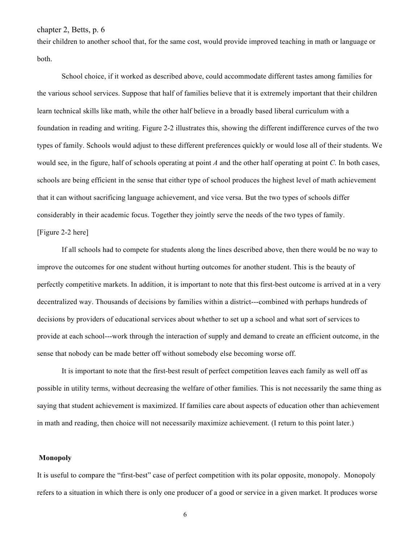their children to another school that, for the same cost, would provide improved teaching in math or language or both.

School choice, if it worked as described above, could accommodate different tastes among families for the various school services. Suppose that half of families believe that it is extremely important that their children learn technical skills like math, while the other half believe in a broadly based liberal curriculum with a foundation in reading and writing. Figure 2-2 illustrates this, showing the different indifference curves of the two types of family. Schools would adjust to these different preferences quickly or would lose all of their students. We would see, in the figure, half of schools operating at point *A* and the other half operating at point *C*. In both cases, schools are being efficient in the sense that either type of school produces the highest level of math achievement that it can without sacrificing language achievement, and vice versa. But the two types of schools differ considerably in their academic focus. Together they jointly serve the needs of the two types of family. [Figure 2-2 here]

If all schools had to compete for students along the lines described above, then there would be no way to improve the outcomes for one student without hurting outcomes for another student. This is the beauty of perfectly competitive markets. In addition, it is important to note that this first-best outcome is arrived at in a very decentralized way. Thousands of decisions by families within a district---combined with perhaps hundreds of decisions by providers of educational services about whether to set up a school and what sort of services to provide at each school---work through the interaction of supply and demand to create an efficient outcome, in the sense that nobody can be made better off without somebody else becoming worse off.

It is important to note that the first-best result of perfect competition leaves each family as well off as possible in utility terms, without decreasing the welfare of other families. This is not necessarily the same thing as saying that student achievement is maximized. If families care about aspects of education other than achievement in math and reading, then choice will not necessarily maximize achievement. (I return to this point later.)

#### **Monopoly**

It is useful to compare the "first-best" case of perfect competition with its polar opposite, monopoly. Monopoly refers to a situation in which there is only one producer of a good or service in a given market. It produces worse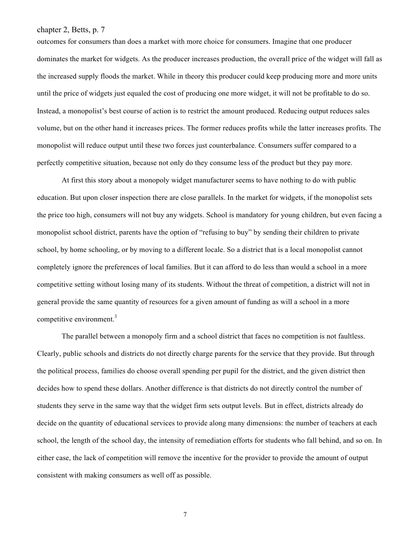outcomes for consumers than does a market with more choice for consumers. Imagine that one producer dominates the market for widgets. As the producer increases production, the overall price of the widget will fall as the increased supply floods the market. While in theory this producer could keep producing more and more units until the price of widgets just equaled the cost of producing one more widget, it will not be profitable to do so. Instead, a monopolist's best course of action is to restrict the amount produced. Reducing output reduces sales volume, but on the other hand it increases prices. The former reduces profits while the latter increases profits. The monopolist will reduce output until these two forces just counterbalance. Consumers suffer compared to a perfectly competitive situation, because not only do they consume less of the product but they pay more.

At first this story about a monopoly widget manufacturer seems to have nothing to do with public education. But upon closer inspection there are close parallels. In the market for widgets, if the monopolist sets the price too high, consumers will not buy any widgets. School is mandatory for young children, but even facing a monopolist school district, parents have the option of "refusing to buy" by sending their children to private school, by home schooling, or by moving to a different locale. So a district that is a local monopolist cannot completely ignore the preferences of local families. But it can afford to do less than would a school in a more competitive setting without losing many of its students. Without the threat of competition, a district will not in general provide the same quantity of resources for a given amount of funding as will a school in a more competitive environment.<sup>3</sup>

The parallel between a monopoly firm and a school district that faces no competition is not faultless. Clearly, public schools and districts do not directly charge parents for the service that they provide. But through the political process, families do choose overall spending per pupil for the district, and the given district then decides how to spend these dollars. Another difference is that districts do not directly control the number of students they serve in the same way that the widget firm sets output levels. But in effect, districts already do decide on the quantity of educational services to provide along many dimensions: the number of teachers at each school, the length of the school day, the intensity of remediation efforts for students who fall behind, and so on. In either case, the lack of competition will remove the incentive for the provider to provide the amount of output consistent with making consumers as well off as possible.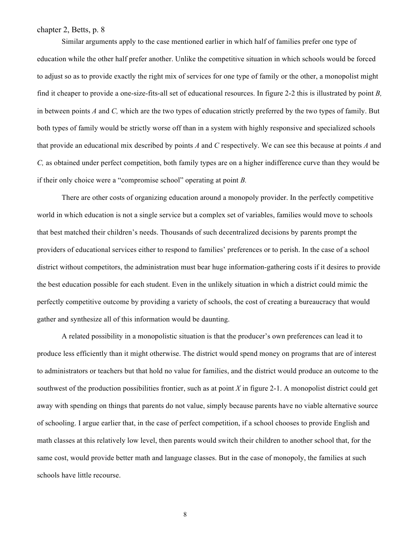Similar arguments apply to the case mentioned earlier in which half of families prefer one type of education while the other half prefer another. Unlike the competitive situation in which schools would be forced to adjust so as to provide exactly the right mix of services for one type of family or the other, a monopolist might find it cheaper to provide a one-size-fits-all set of educational resources. In figure 2-2 this is illustrated by point *B,* in between points *A* and *C,* which are the two types of education strictly preferred by the two types of family. But both types of family would be strictly worse off than in a system with highly responsive and specialized schools that provide an educational mix described by points *A* and *C* respectively. We can see this because at points *A* and *C,* as obtained under perfect competition, both family types are on a higher indifference curve than they would be if their only choice were a "compromise school" operating at point *B.*

There are other costs of organizing education around a monopoly provider. In the perfectly competitive world in which education is not a single service but a complex set of variables, families would move to schools that best matched their children's needs. Thousands of such decentralized decisions by parents prompt the providers of educational services either to respond to families' preferences or to perish. In the case of a school district without competitors, the administration must bear huge information-gathering costs if it desires to provide the best education possible for each student. Even in the unlikely situation in which a district could mimic the perfectly competitive outcome by providing a variety of schools, the cost of creating a bureaucracy that would gather and synthesize all of this information would be daunting.

A related possibility in a monopolistic situation is that the producer's own preferences can lead it to produce less efficiently than it might otherwise. The district would spend money on programs that are of interest to administrators or teachers but that hold no value for families, and the district would produce an outcome to the southwest of the production possibilities frontier, such as at point *X* in figure 2-1. A monopolist district could get away with spending on things that parents do not value, simply because parents have no viable alternative source of schooling. I argue earlier that, in the case of perfect competition, if a school chooses to provide English and math classes at this relatively low level, then parents would switch their children to another school that, for the same cost, would provide better math and language classes. But in the case of monopoly, the families at such schools have little recourse.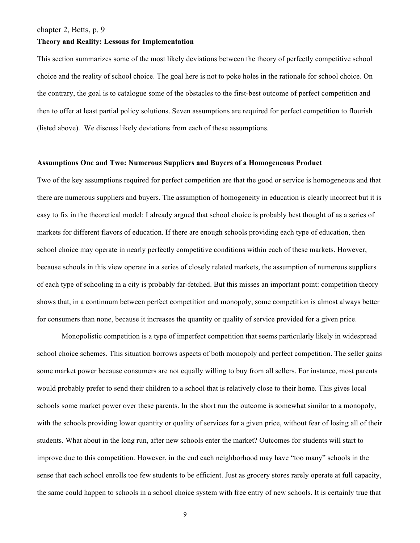# **Theory and Reality: Lessons for Implementation**

This section summarizes some of the most likely deviations between the theory of perfectly competitive school choice and the reality of school choice. The goal here is not to poke holes in the rationale for school choice. On the contrary, the goal is to catalogue some of the obstacles to the first-best outcome of perfect competition and then to offer at least partial policy solutions. Seven assumptions are required for perfect competition to flourish (listed above). We discuss likely deviations from each of these assumptions.

# **Assumptions One and Two: Numerous Suppliers and Buyers of a Homogeneous Product**

Two of the key assumptions required for perfect competition are that the good or service is homogeneous and that there are numerous suppliers and buyers. The assumption of homogeneity in education is clearly incorrect but it is easy to fix in the theoretical model: I already argued that school choice is probably best thought of as a series of markets for different flavors of education. If there are enough schools providing each type of education, then school choice may operate in nearly perfectly competitive conditions within each of these markets. However, because schools in this view operate in a series of closely related markets, the assumption of numerous suppliers of each type of schooling in a city is probably far-fetched. But this misses an important point: competition theory shows that, in a continuum between perfect competition and monopoly, some competition is almost always better for consumers than none, because it increases the quantity or quality of service provided for a given price.

Monopolistic competition is a type of imperfect competition that seems particularly likely in widespread school choice schemes. This situation borrows aspects of both monopoly and perfect competition. The seller gains some market power because consumers are not equally willing to buy from all sellers. For instance, most parents would probably prefer to send their children to a school that is relatively close to their home. This gives local schools some market power over these parents. In the short run the outcome is somewhat similar to a monopoly, with the schools providing lower quantity or quality of services for a given price, without fear of losing all of their students. What about in the long run, after new schools enter the market? Outcomes for students will start to improve due to this competition. However, in the end each neighborhood may have "too many" schools in the sense that each school enrolls too few students to be efficient. Just as grocery stores rarely operate at full capacity, the same could happen to schools in a school choice system with free entry of new schools. It is certainly true that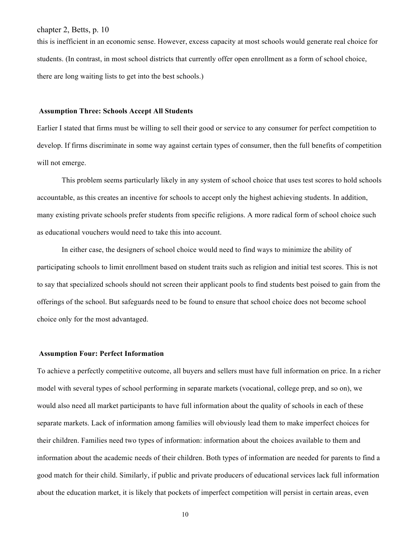this is inefficient in an economic sense. However, excess capacity at most schools would generate real choice for students. (In contrast, in most school districts that currently offer open enrollment as a form of school choice, there are long waiting lists to get into the best schools.)

#### **Assumption Three: Schools Accept All Students**

Earlier I stated that firms must be willing to sell their good or service to any consumer for perfect competition to develop. If firms discriminate in some way against certain types of consumer, then the full benefits of competition will not emerge.

This problem seems particularly likely in any system of school choice that uses test scores to hold schools accountable, as this creates an incentive for schools to accept only the highest achieving students. In addition, many existing private schools prefer students from specific religions. A more radical form of school choice such as educational vouchers would need to take this into account.

In either case, the designers of school choice would need to find ways to minimize the ability of participating schools to limit enrollment based on student traits such as religion and initial test scores. This is not to say that specialized schools should not screen their applicant pools to find students best poised to gain from the offerings of the school. But safeguards need to be found to ensure that school choice does not become school choice only for the most advantaged.

#### **Assumption Four: Perfect Information**

To achieve a perfectly competitive outcome, all buyers and sellers must have full information on price. In a richer model with several types of school performing in separate markets (vocational, college prep, and so on), we would also need all market participants to have full information about the quality of schools in each of these separate markets. Lack of information among families will obviously lead them to make imperfect choices for their children. Families need two types of information: information about the choices available to them and information about the academic needs of their children. Both types of information are needed for parents to find a good match for their child. Similarly, if public and private producers of educational services lack full information about the education market, it is likely that pockets of imperfect competition will persist in certain areas, even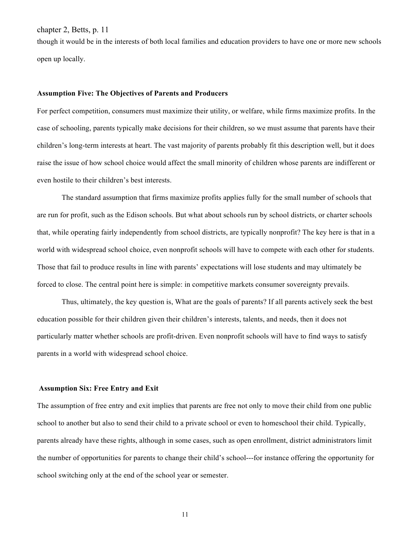though it would be in the interests of both local families and education providers to have one or more new schools open up locally.

# **Assumption Five: The Objectives of Parents and Producers**

For perfect competition, consumers must maximize their utility, or welfare, while firms maximize profits. In the case of schooling, parents typically make decisions for their children, so we must assume that parents have their children's long-term interests at heart. The vast majority of parents probably fit this description well, but it does raise the issue of how school choice would affect the small minority of children whose parents are indifferent or even hostile to their children's best interests.

The standard assumption that firms maximize profits applies fully for the small number of schools that are run for profit, such as the Edison schools. But what about schools run by school districts, or charter schools that, while operating fairly independently from school districts, are typically nonprofit? The key here is that in a world with widespread school choice, even nonprofit schools will have to compete with each other for students. Those that fail to produce results in line with parents' expectations will lose students and may ultimately be forced to close. The central point here is simple: in competitive markets consumer sovereignty prevails.

Thus, ultimately, the key question is, What are the goals of parents? If all parents actively seek the best education possible for their children given their children's interests, talents, and needs, then it does not particularly matter whether schools are profit-driven. Even nonprofit schools will have to find ways to satisfy parents in a world with widespread school choice.

# **Assumption Six: Free Entry and Exit**

The assumption of free entry and exit implies that parents are free not only to move their child from one public school to another but also to send their child to a private school or even to homeschool their child. Typically, parents already have these rights, although in some cases, such as open enrollment, district administrators limit the number of opportunities for parents to change their child's school---for instance offering the opportunity for school switching only at the end of the school year or semester.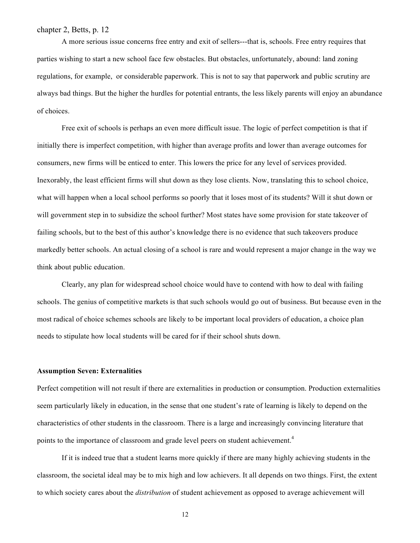A more serious issue concerns free entry and exit of sellers---that is, schools. Free entry requires that parties wishing to start a new school face few obstacles. But obstacles, unfortunately, abound: land zoning regulations, for example, or considerable paperwork. This is not to say that paperwork and public scrutiny are always bad things. But the higher the hurdles for potential entrants, the less likely parents will enjoy an abundance of choices.

Free exit of schools is perhaps an even more difficult issue. The logic of perfect competition is that if initially there is imperfect competition, with higher than average profits and lower than average outcomes for consumers, new firms will be enticed to enter. This lowers the price for any level of services provided. Inexorably, the least efficient firms will shut down as they lose clients. Now, translating this to school choice, what will happen when a local school performs so poorly that it loses most of its students? Will it shut down or will government step in to subsidize the school further? Most states have some provision for state takeover of failing schools, but to the best of this author's knowledge there is no evidence that such takeovers produce markedly better schools. An actual closing of a school is rare and would represent a major change in the way we think about public education.

Clearly, any plan for widespread school choice would have to contend with how to deal with failing schools. The genius of competitive markets is that such schools would go out of business. But because even in the most radical of choice schemes schools are likely to be important local providers of education, a choice plan needs to stipulate how local students will be cared for if their school shuts down.

#### **Assumption Seven: Externalities**

Perfect competition will not result if there are externalities in production or consumption. Production externalities seem particularly likely in education, in the sense that one student's rate of learning is likely to depend on the characteristics of other students in the classroom. There is a large and increasingly convincing literature that points to the importance of classroom and grade level peers on student achievement.<sup>4</sup>

If it is indeed true that a student learns more quickly if there are many highly achieving students in the classroom, the societal ideal may be to mix high and low achievers. It all depends on two things. First, the extent to which society cares about the *distribution* of student achievement as opposed to average achievement will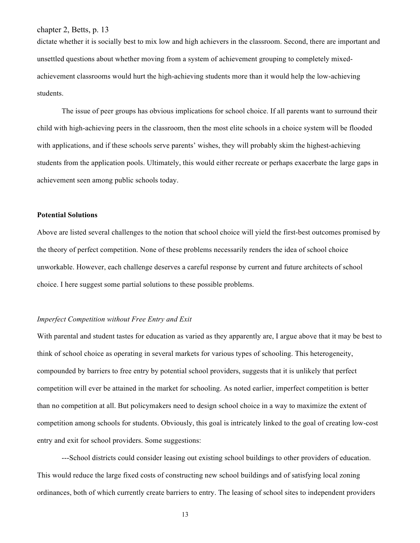dictate whether it is socially best to mix low and high achievers in the classroom. Second, there are important and unsettled questions about whether moving from a system of achievement grouping to completely mixedachievement classrooms would hurt the high-achieving students more than it would help the low-achieving students.

The issue of peer groups has obvious implications for school choice. If all parents want to surround their child with high-achieving peers in the classroom, then the most elite schools in a choice system will be flooded with applications, and if these schools serve parents' wishes, they will probably skim the highest-achieving students from the application pools. Ultimately, this would either recreate or perhaps exacerbate the large gaps in achievement seen among public schools today.

# **Potential Solutions**

Above are listed several challenges to the notion that school choice will yield the first-best outcomes promised by the theory of perfect competition. None of these problems necessarily renders the idea of school choice unworkable. However, each challenge deserves a careful response by current and future architects of school choice. I here suggest some partial solutions to these possible problems.

#### *Imperfect Competition without Free Entry and Exit*

With parental and student tastes for education as varied as they apparently are. I argue above that it may be best to think of school choice as operating in several markets for various types of schooling. This heterogeneity, compounded by barriers to free entry by potential school providers, suggests that it is unlikely that perfect competition will ever be attained in the market for schooling. As noted earlier, imperfect competition is better than no competition at all. But policymakers need to design school choice in a way to maximize the extent of competition among schools for students. Obviously, this goal is intricately linked to the goal of creating low-cost entry and exit for school providers. Some suggestions:

---School districts could consider leasing out existing school buildings to other providers of education. This would reduce the large fixed costs of constructing new school buildings and of satisfying local zoning ordinances, both of which currently create barriers to entry. The leasing of school sites to independent providers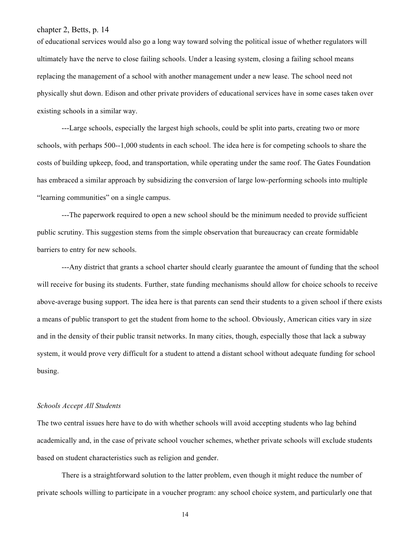of educational services would also go a long way toward solving the political issue of whether regulators will ultimately have the nerve to close failing schools. Under a leasing system, closing a failing school means replacing the management of a school with another management under a new lease. The school need not physically shut down. Edison and other private providers of educational services have in some cases taken over existing schools in a similar way.

---Large schools, especially the largest high schools, could be split into parts, creating two or more schools, with perhaps 500--1,000 students in each school. The idea here is for competing schools to share the costs of building upkeep, food, and transportation, while operating under the same roof. The Gates Foundation has embraced a similar approach by subsidizing the conversion of large low-performing schools into multiple "learning communities" on a single campus.

---The paperwork required to open a new school should be the minimum needed to provide sufficient public scrutiny. This suggestion stems from the simple observation that bureaucracy can create formidable barriers to entry for new schools.

---Any district that grants a school charter should clearly guarantee the amount of funding that the school will receive for busing its students. Further, state funding mechanisms should allow for choice schools to receive above-average busing support. The idea here is that parents can send their students to a given school if there exists a means of public transport to get the student from home to the school. Obviously, American cities vary in size and in the density of their public transit networks. In many cities, though, especially those that lack a subway system, it would prove very difficult for a student to attend a distant school without adequate funding for school busing.

#### *Schools Accept All Students*

The two central issues here have to do with whether schools will avoid accepting students who lag behind academically and, in the case of private school voucher schemes, whether private schools will exclude students based on student characteristics such as religion and gender.

There is a straightforward solution to the latter problem, even though it might reduce the number of private schools willing to participate in a voucher program: any school choice system, and particularly one that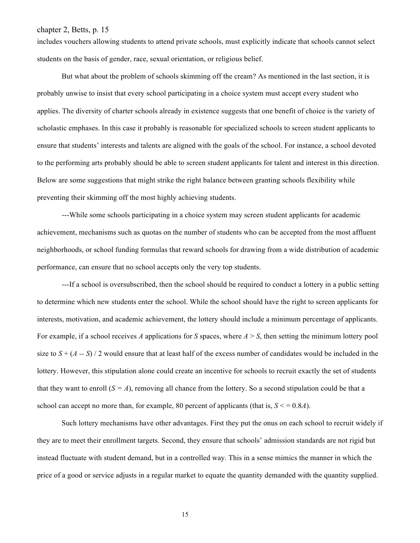includes vouchers allowing students to attend private schools, must explicitly indicate that schools cannot select students on the basis of gender, race, sexual orientation, or religious belief.

But what about the problem of schools skimming off the cream? As mentioned in the last section, it is probably unwise to insist that every school participating in a choice system must accept every student who applies. The diversity of charter schools already in existence suggests that one benefit of choice is the variety of scholastic emphases. In this case it probably is reasonable for specialized schools to screen student applicants to ensure that students' interests and talents are aligned with the goals of the school. For instance, a school devoted to the performing arts probably should be able to screen student applicants for talent and interest in this direction. Below are some suggestions that might strike the right balance between granting schools flexibility while preventing their skimming off the most highly achieving students.

---While some schools participating in a choice system may screen student applicants for academic achievement, mechanisms such as quotas on the number of students who can be accepted from the most affluent neighborhoods, or school funding formulas that reward schools for drawing from a wide distribution of academic performance, can ensure that no school accepts only the very top students.

---If a school is oversubscribed, then the school should be required to conduct a lottery in a public setting to determine which new students enter the school. While the school should have the right to screen applicants for interests, motivation, and academic achievement, the lottery should include a minimum percentage of applicants. For example, if a school receives *A* applications for *S* spaces, where *A* > *S*, then setting the minimum lottery pool size to  $S + (A - S)/2$  would ensure that at least half of the excess number of candidates would be included in the lottery. However, this stipulation alone could create an incentive for schools to recruit exactly the set of students that they want to enroll  $(S = A)$ , removing all chance from the lottery. So a second stipulation could be that a school can accept no more than, for example, 80 percent of applicants (that is,  $S \le 0.8A$ ).

Such lottery mechanisms have other advantages. First they put the onus on each school to recruit widely if they are to meet their enrollment targets. Second, they ensure that schools' admission standards are not rigid but instead fluctuate with student demand, but in a controlled way. This in a sense mimics the manner in which the price of a good or service adjusts in a regular market to equate the quantity demanded with the quantity supplied.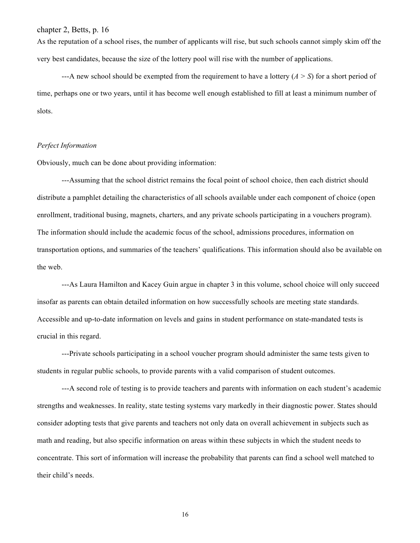As the reputation of a school rises, the number of applicants will rise, but such schools cannot simply skim off the very best candidates, because the size of the lottery pool will rise with the number of applications.

---A new school should be exempted from the requirement to have a lottery (*A > S*) for a short period of time, perhaps one or two years, until it has become well enough established to fill at least a minimum number of slots.

# *Perfect Information*

Obviously, much can be done about providing information:

---Assuming that the school district remains the focal point of school choice, then each district should distribute a pamphlet detailing the characteristics of all schools available under each component of choice (open enrollment, traditional busing, magnets, charters, and any private schools participating in a vouchers program). The information should include the academic focus of the school, admissions procedures, information on transportation options, and summaries of the teachers' qualifications. This information should also be available on the web.

---As Laura Hamilton and Kacey Guin argue in chapter 3 in this volume, school choice will only succeed insofar as parents can obtain detailed information on how successfully schools are meeting state standards. Accessible and up-to-date information on levels and gains in student performance on state-mandated tests is crucial in this regard.

---Private schools participating in a school voucher program should administer the same tests given to students in regular public schools, to provide parents with a valid comparison of student outcomes.

---A second role of testing is to provide teachers and parents with information on each student's academic strengths and weaknesses. In reality, state testing systems vary markedly in their diagnostic power. States should consider adopting tests that give parents and teachers not only data on overall achievement in subjects such as math and reading, but also specific information on areas within these subjects in which the student needs to concentrate. This sort of information will increase the probability that parents can find a school well matched to their child's needs.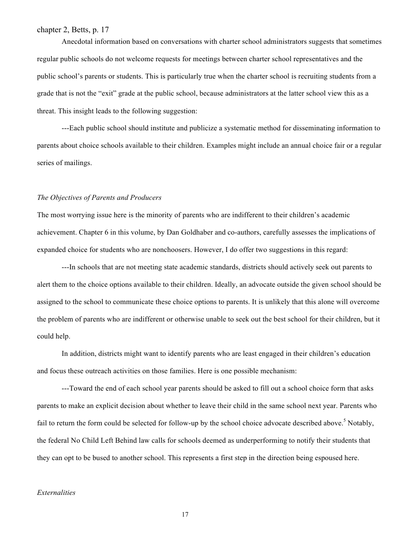Anecdotal information based on conversations with charter school administrators suggests that sometimes regular public schools do not welcome requests for meetings between charter school representatives and the public school's parents or students. This is particularly true when the charter school is recruiting students from a grade that is not the "exit" grade at the public school, because administrators at the latter school view this as a threat. This insight leads to the following suggestion:

---Each public school should institute and publicize a systematic method for disseminating information to parents about choice schools available to their children. Examples might include an annual choice fair or a regular series of mailings.

#### *The Objectives of Parents and Producers*

The most worrying issue here is the minority of parents who are indifferent to their children's academic achievement. Chapter 6 in this volume, by Dan Goldhaber and co-authors, carefully assesses the implications of expanded choice for students who are nonchoosers. However, I do offer two suggestions in this regard:

---In schools that are not meeting state academic standards, districts should actively seek out parents to alert them to the choice options available to their children. Ideally, an advocate outside the given school should be assigned to the school to communicate these choice options to parents. It is unlikely that this alone will overcome the problem of parents who are indifferent or otherwise unable to seek out the best school for their children, but it could help.

In addition, districts might want to identify parents who are least engaged in their children's education and focus these outreach activities on those families. Here is one possible mechanism:

---Toward the end of each school year parents should be asked to fill out a school choice form that asks parents to make an explicit decision about whether to leave their child in the same school next year. Parents who fail to return the form could be selected for follow-up by the school choice advocate described above.<sup>5</sup> Notably, the federal No Child Left Behind law calls for schools deemed as underperforming to notify their students that they can opt to be bused to another school. This represents a first step in the direction being espoused here.

#### *Externalities*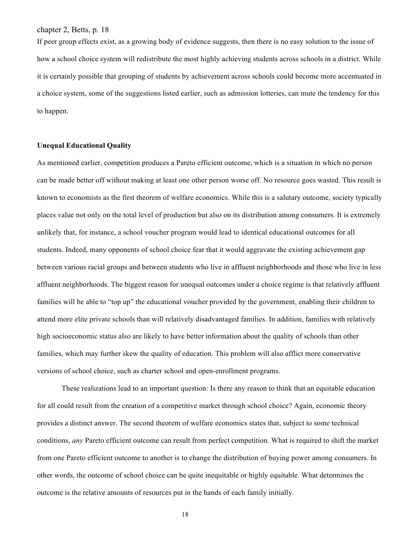If peer group effects exist, as a growing body of evidence suggests, then there is no easy solution to the issue of how a school choice system will redistribute the most highly achieving students across schools in a district. While it is certainly possible that grouping of students by achievement across schools could become more accentuated in a choice system, some of the suggestions listed earlier, such as admission lotteries, can mute the tendency for this to happen.

## **Unequal Educational Quality**

As mentioned earlier, competition produces a Pareto efficient outcome, which is a situation in which no person can be made better off without making at least one other person worse off. No resource goes wasted. This result is known to economists as the first theorem of welfare economics. While this is a salutary outcome, society typically places value not only on the total level of production but also on its distribution among consumers. It is extremely unlikely that, for instance, a school voucher program would lead to identical educational outcomes for all students. Indeed, many opponents of school choice fear that it would aggravate the existing achievement gap between various racial groups and between students who live in affluent neighborhoods and those who live in less affluent neighborhoods. The biggest reason for unequal outcomes under a choice regime is that relatively affluent families will be able to "top up" the educational voucher provided by the government, enabling their children to attend more elite private schools than will relatively disadvantaged families. In addition, families with relatively high socioeconomic status also are likely to have better information about the quality of schools than other families, which may further skew the quality of education. This problem will also afflict more conservative versions of school choice, such as charter school and open-enrollment programs.

These realizations lead to an important question: Is there any reason to think that an equitable education for all could result from the creation of a competitive market through school choice? Again, economic theory provides a distinct answer. The second theorem of welfare economics states that, subject to some technical conditions, *any* Pareto efficient outcome can result from perfect competition. What is required to shift the market from one Pareto efficient outcome to another is to change the distribution of buying power among consumers. In other words, the outcome of school choice can be quite inequitable or highly equitable. What determines the outcome is the relative amounts of resources put in the hands of each family initially.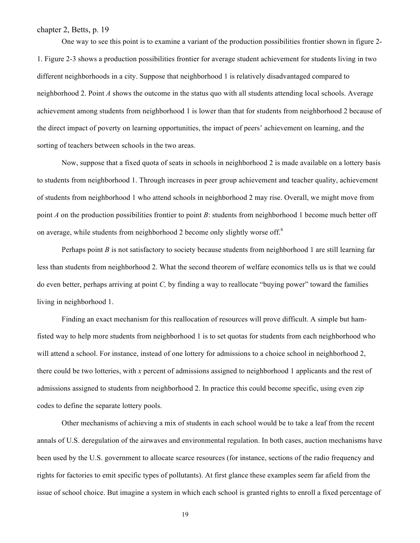One way to see this point is to examine a variant of the production possibilities frontier shown in figure 2- 1. Figure 2-3 shows a production possibilities frontier for average student achievement for students living in two different neighborhoods in a city. Suppose that neighborhood 1 is relatively disadvantaged compared to neighborhood 2. Point *A* shows the outcome in the status quo with all students attending local schools. Average achievement among students from neighborhood 1 is lower than that for students from neighborhood 2 because of the direct impact of poverty on learning opportunities, the impact of peers' achievement on learning, and the sorting of teachers between schools in the two areas.

Now, suppose that a fixed quota of seats in schools in neighborhood 2 is made available on a lottery basis to students from neighborhood 1. Through increases in peer group achievement and teacher quality, achievement of students from neighborhood 1 who attend schools in neighborhood 2 may rise. Overall, we might move from point *A* on the production possibilities frontier to point *B*: students from neighborhood 1 become much better off on average, while students from neighborhood 2 become only slightly worse off.<sup>6</sup>

Perhaps point *B* is not satisfactory to society because students from neighborhood 1 are still learning far less than students from neighborhood 2. What the second theorem of welfare economics tells us is that we could do even better, perhaps arriving at point *C,* by finding a way to reallocate "buying power" toward the families living in neighborhood 1.

Finding an exact mechanism for this reallocation of resources will prove difficult. A simple but hamfisted way to help more students from neighborhood 1 is to set quotas for students from each neighborhood who will attend a school. For instance, instead of one lottery for admissions to a choice school in neighborhood 2, there could be two lotteries, with *x* percent of admissions assigned to neighborhood 1 applicants and the rest of admissions assigned to students from neighborhood 2. In practice this could become specific, using even zip codes to define the separate lottery pools.

Other mechanisms of achieving a mix of students in each school would be to take a leaf from the recent annals of U.S. deregulation of the airwaves and environmental regulation. In both cases, auction mechanisms have been used by the U.S. government to allocate scarce resources (for instance, sections of the radio frequency and rights for factories to emit specific types of pollutants). At first glance these examples seem far afield from the issue of school choice. But imagine a system in which each school is granted rights to enroll a fixed percentage of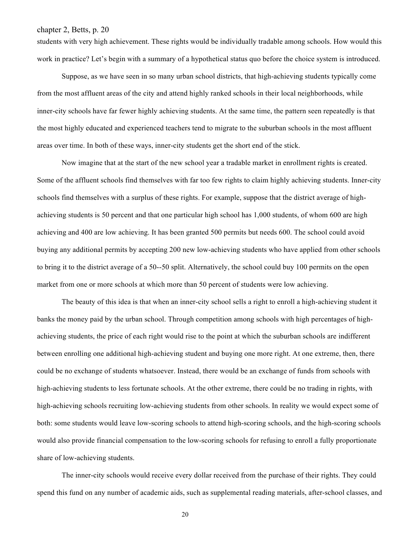students with very high achievement. These rights would be individually tradable among schools. How would this work in practice? Let's begin with a summary of a hypothetical status quo before the choice system is introduced.

Suppose, as we have seen in so many urban school districts, that high-achieving students typically come from the most affluent areas of the city and attend highly ranked schools in their local neighborhoods, while inner-city schools have far fewer highly achieving students. At the same time, the pattern seen repeatedly is that the most highly educated and experienced teachers tend to migrate to the suburban schools in the most affluent areas over time. In both of these ways, inner-city students get the short end of the stick.

Now imagine that at the start of the new school year a tradable market in enrollment rights is created. Some of the affluent schools find themselves with far too few rights to claim highly achieving students. Inner-city schools find themselves with a surplus of these rights. For example, suppose that the district average of highachieving students is 50 percent and that one particular high school has 1,000 students, of whom 600 are high achieving and 400 are low achieving. It has been granted 500 permits but needs 600. The school could avoid buying any additional permits by accepting 200 new low-achieving students who have applied from other schools to bring it to the district average of a 50--50 split. Alternatively, the school could buy 100 permits on the open market from one or more schools at which more than 50 percent of students were low achieving.

The beauty of this idea is that when an inner-city school sells a right to enroll a high-achieving student it banks the money paid by the urban school. Through competition among schools with high percentages of highachieving students, the price of each right would rise to the point at which the suburban schools are indifferent between enrolling one additional high-achieving student and buying one more right. At one extreme, then, there could be no exchange of students whatsoever. Instead, there would be an exchange of funds from schools with high-achieving students to less fortunate schools. At the other extreme, there could be no trading in rights, with high-achieving schools recruiting low-achieving students from other schools. In reality we would expect some of both: some students would leave low-scoring schools to attend high-scoring schools, and the high-scoring schools would also provide financial compensation to the low-scoring schools for refusing to enroll a fully proportionate share of low-achieving students.

The inner-city schools would receive every dollar received from the purchase of their rights. They could spend this fund on any number of academic aids, such as supplemental reading materials, after-school classes, and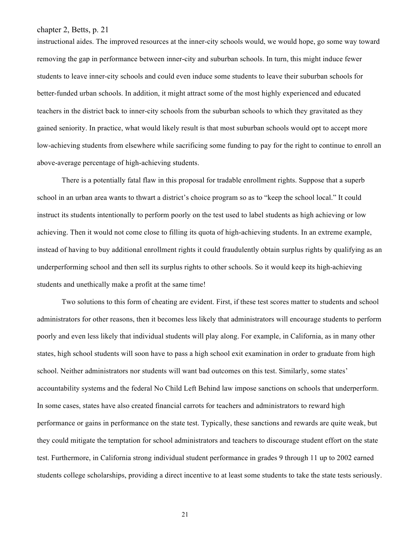instructional aides. The improved resources at the inner-city schools would, we would hope, go some way toward removing the gap in performance between inner-city and suburban schools. In turn, this might induce fewer students to leave inner-city schools and could even induce some students to leave their suburban schools for better-funded urban schools. In addition, it might attract some of the most highly experienced and educated teachers in the district back to inner-city schools from the suburban schools to which they gravitated as they gained seniority. In practice, what would likely result is that most suburban schools would opt to accept more low-achieving students from elsewhere while sacrificing some funding to pay for the right to continue to enroll an above-average percentage of high-achieving students.

There is a potentially fatal flaw in this proposal for tradable enrollment rights. Suppose that a superb school in an urban area wants to thwart a district's choice program so as to "keep the school local." It could instruct its students intentionally to perform poorly on the test used to label students as high achieving or low achieving. Then it would not come close to filling its quota of high-achieving students. In an extreme example, instead of having to buy additional enrollment rights it could fraudulently obtain surplus rights by qualifying as an underperforming school and then sell its surplus rights to other schools. So it would keep its high-achieving students and unethically make a profit at the same time!

Two solutions to this form of cheating are evident. First, if these test scores matter to students and school administrators for other reasons, then it becomes less likely that administrators will encourage students to perform poorly and even less likely that individual students will play along. For example, in California, as in many other states, high school students will soon have to pass a high school exit examination in order to graduate from high school. Neither administrators nor students will want bad outcomes on this test. Similarly, some states' accountability systems and the federal No Child Left Behind law impose sanctions on schools that underperform. In some cases, states have also created financial carrots for teachers and administrators to reward high performance or gains in performance on the state test. Typically, these sanctions and rewards are quite weak, but they could mitigate the temptation for school administrators and teachers to discourage student effort on the state test. Furthermore, in California strong individual student performance in grades 9 through 11 up to 2002 earned students college scholarships, providing a direct incentive to at least some students to take the state tests seriously.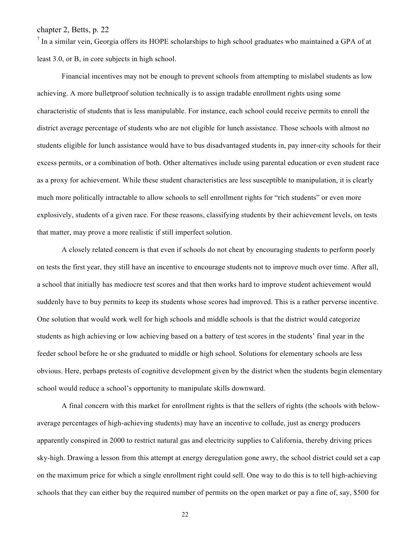$<sup>7</sup>$  In a similar vein, Georgia offers its HOPE scholarships to high school graduates who maintained a GPA of at</sup> least 3.0, or B, in core subjects in high school.

Financial incentives may not be enough to prevent schools from attempting to mislabel students as low achieving. A more bulletproof solution technically is to assign tradable enrollment rights using some characteristic of students that is less manipulable. For instance, each school could receive permits to enroll the district average percentage of students who are not eligible for lunch assistance. Those schools with almost no students eligible for lunch assistance would have to bus disadvantaged students in, pay inner-city schools for their excess permits, or a combination of both. Other alternatives include using parental education or even student race as a proxy for achievement. While these student characteristics are less susceptible to manipulation, it is clearly much more politically intractable to allow schools to sell enrollment rights for "rich students" or even more explosively, students of a given race. For these reasons, classifying students by their achievement levels, on tests that matter, may prove a more realistic if still imperfect solution.

A closely related concern is that even if schools do not cheat by encouraging students to perform poorly on tests the first year, they still have an incentive to encourage students not to improve much over time. After all, a school that initially has mediocre test scores and that then works hard to improve student achievement would suddenly have to buy permits to keep its students whose scores had improved. This is a rather perverse incentive. One solution that would work well for high schools and middle schools is that the district would categorize students as high achieving or low achieving based on a battery of test scores in the students' final year in the feeder school before he or she graduated to middle or high school. Solutions for elementary schools are less obvious. Here, perhaps pretests of cognitive development given by the district when the students begin elementary school would reduce a school's opportunity to manipulate skills downward.

A final concern with this market for enrollment rights is that the sellers of rights (the schools with belowaverage percentages of high-achieving students) may have an incentive to collude, just as energy producers apparently conspired in 2000 to restrict natural gas and electricity supplies to California, thereby driving prices sky-high. Drawing a lesson from this attempt at energy deregulation gone awry, the school district could set a cap on the maximum price for which a single enrollment right could sell. One way to do this is to tell high-achieving schools that they can either buy the required number of permits on the open market or pay a fine of, say, \$500 for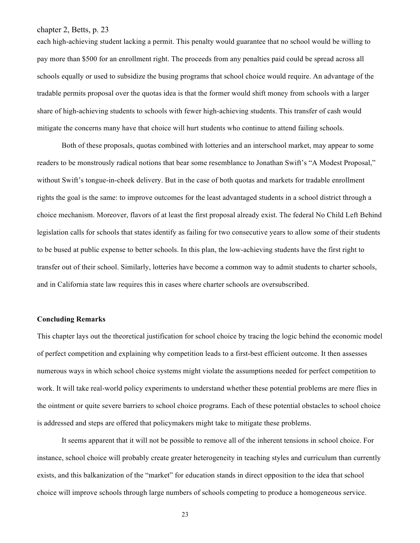each high-achieving student lacking a permit. This penalty would guarantee that no school would be willing to pay more than \$500 for an enrollment right. The proceeds from any penalties paid could be spread across all schools equally or used to subsidize the busing programs that school choice would require. An advantage of the tradable permits proposal over the quotas idea is that the former would shift money from schools with a larger share of high-achieving students to schools with fewer high-achieving students. This transfer of cash would mitigate the concerns many have that choice will hurt students who continue to attend failing schools.

Both of these proposals, quotas combined with lotteries and an interschool market, may appear to some readers to be monstrously radical notions that bear some resemblance to Jonathan Swift's "A Modest Proposal," without Swift's tongue-in-cheek delivery. But in the case of both quotas and markets for tradable enrollment rights the goal is the same: to improve outcomes for the least advantaged students in a school district through a choice mechanism. Moreover, flavors of at least the first proposal already exist. The federal No Child Left Behind legislation calls for schools that states identify as failing for two consecutive years to allow some of their students to be bused at public expense to better schools. In this plan, the low-achieving students have the first right to transfer out of their school. Similarly, lotteries have become a common way to admit students to charter schools, and in California state law requires this in cases where charter schools are oversubscribed.

### **Concluding Remarks**

This chapter lays out the theoretical justification for school choice by tracing the logic behind the economic model of perfect competition and explaining why competition leads to a first-best efficient outcome. It then assesses numerous ways in which school choice systems might violate the assumptions needed for perfect competition to work. It will take real-world policy experiments to understand whether these potential problems are mere flies in the ointment or quite severe barriers to school choice programs. Each of these potential obstacles to school choice is addressed and steps are offered that policymakers might take to mitigate these problems.

It seems apparent that it will not be possible to remove all of the inherent tensions in school choice. For instance, school choice will probably create greater heterogeneity in teaching styles and curriculum than currently exists, and this balkanization of the "market" for education stands in direct opposition to the idea that school choice will improve schools through large numbers of schools competing to produce a homogeneous service.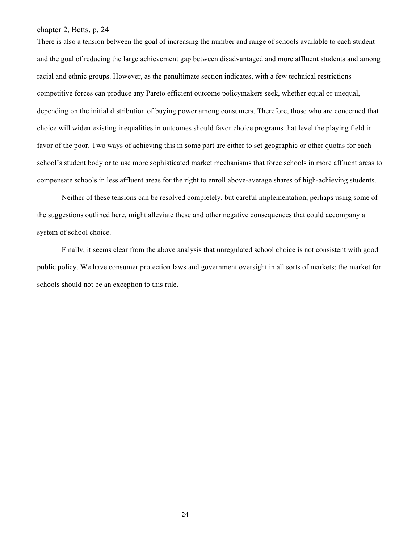There is also a tension between the goal of increasing the number and range of schools available to each student and the goal of reducing the large achievement gap between disadvantaged and more affluent students and among racial and ethnic groups. However, as the penultimate section indicates, with a few technical restrictions competitive forces can produce any Pareto efficient outcome policymakers seek, whether equal or unequal, depending on the initial distribution of buying power among consumers. Therefore, those who are concerned that choice will widen existing inequalities in outcomes should favor choice programs that level the playing field in favor of the poor. Two ways of achieving this in some part are either to set geographic or other quotas for each school's student body or to use more sophisticated market mechanisms that force schools in more affluent areas to compensate schools in less affluent areas for the right to enroll above-average shares of high-achieving students.

Neither of these tensions can be resolved completely, but careful implementation, perhaps using some of the suggestions outlined here, might alleviate these and other negative consequences that could accompany a system of school choice.

Finally, it seems clear from the above analysis that unregulated school choice is not consistent with good public policy. We have consumer protection laws and government oversight in all sorts of markets; the market for schools should not be an exception to this rule.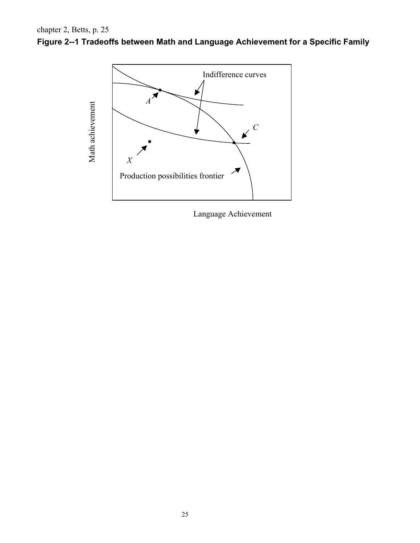



Language Achievement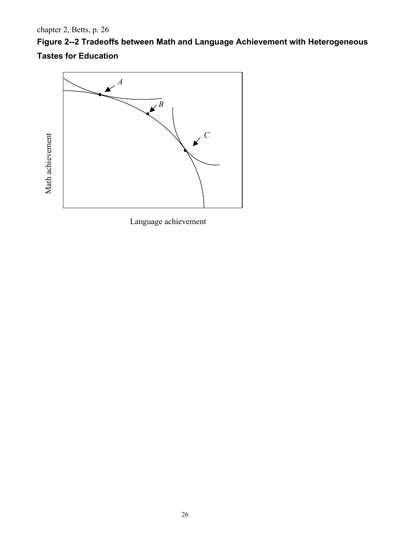**Figure 2--2 Tradeoffs between Math and Language Achievement with Heterogeneous Tastes for Education**



Language achievement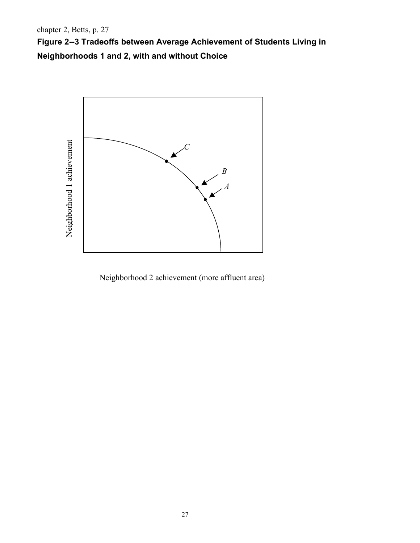**Figure 2--3 Tradeoffs between Average Achievement of Students Living in Neighborhoods 1 and 2, with and without Choice**



Neighborhood 2 achievement (more affluent area)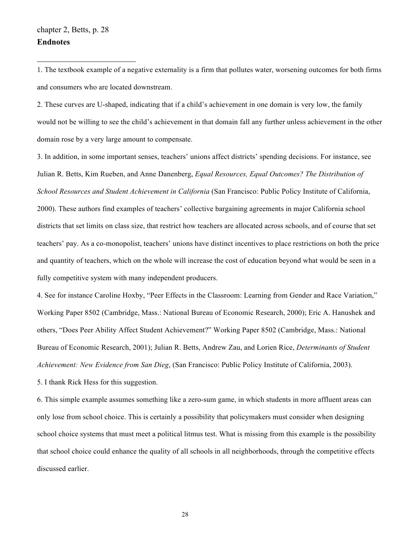$\overline{a}$ 

1. The textbook example of a negative externality is a firm that pollutes water, worsening outcomes for both firms and consumers who are located downstream.

2. These curves are U-shaped, indicating that if a child's achievement in one domain is very low, the family would not be willing to see the child's achievement in that domain fall any further unless achievement in the other domain rose by a very large amount to compensate.

3. In addition, in some important senses, teachers' unions affect districts' spending decisions. For instance, see Julian R. Betts, Kim Rueben, and Anne Danenberg, *Equal Resources, Equal Outcomes? The Distribution of School Resources and Student Achievement in California* (San Francisco: Public Policy Institute of California, 2000). These authors find examples of teachers' collective bargaining agreements in major California school districts that set limits on class size, that restrict how teachers are allocated across schools, and of course that set teachers' pay. As a co-monopolist, teachers' unions have distinct incentives to place restrictions on both the price and quantity of teachers, which on the whole will increase the cost of education beyond what would be seen in a fully competitive system with many independent producers.

4. See for instance Caroline Hoxby, "Peer Effects in the Classroom: Learning from Gender and Race Variation," Working Paper 8502 (Cambridge, Mass.: National Bureau of Economic Research, 2000); Eric A. Hanushek and others, "Does Peer Ability Affect Student Achievement?" Working Paper 8502 (Cambridge, Mass.: National Bureau of Economic Research, 2001); Julian R. Betts, Andrew Zau, and Lorien Rice, *Determinants of Student Achievement: New Evidence from San Dieg*, (San Francisco: Public Policy Institute of California, 2003).

5. I thank Rick Hess for this suggestion.

6. This simple example assumes something like a zero-sum game, in which students in more affluent areas can only lose from school choice. This is certainly a possibility that policymakers must consider when designing school choice systems that must meet a political litmus test. What is missing from this example is the possibility that school choice could enhance the quality of all schools in all neighborhoods, through the competitive effects discussed earlier.